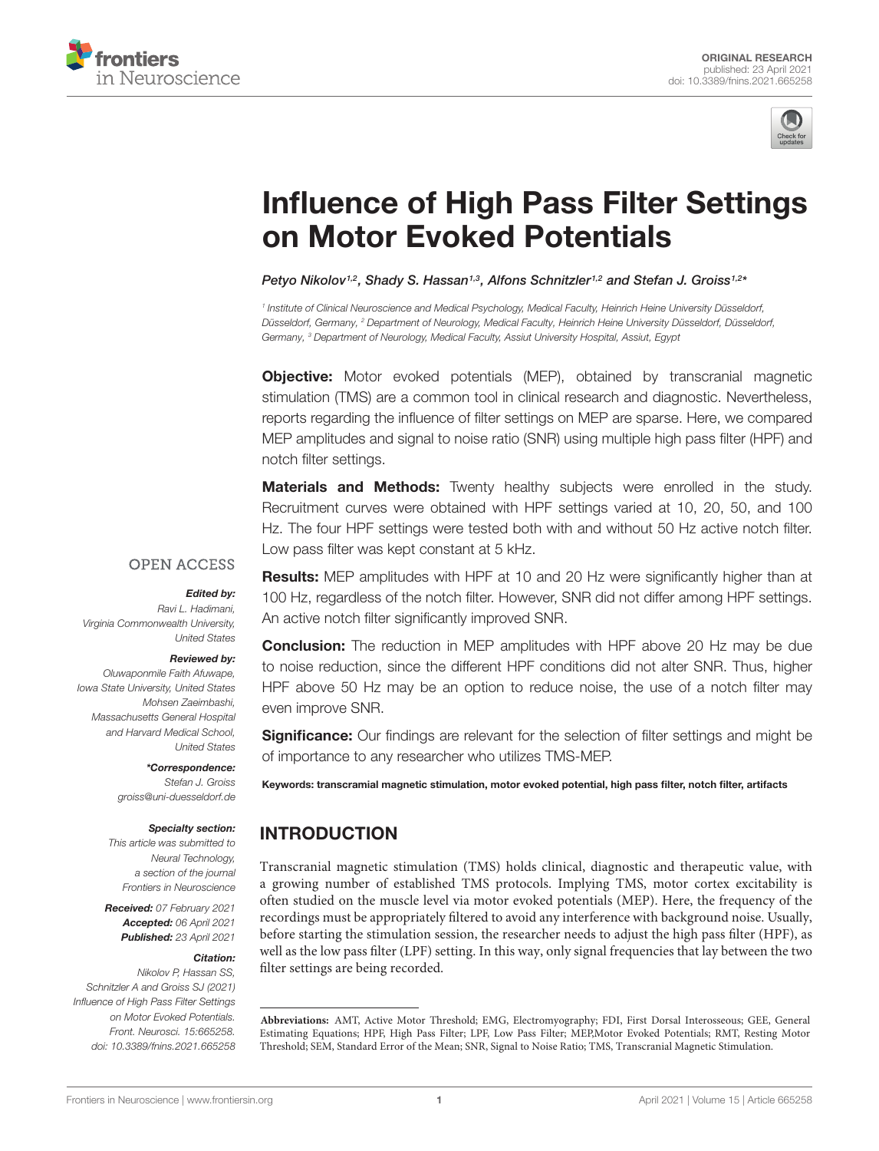



# [Influence of High Pass Filter Settings](https://www.frontiersin.org/articles/10.3389/fnins.2021.665258/full) on Motor Evoked Potentials

Petyo Nikolov1,2, Shady S. Hassan1,3, Alfons Schnitzler1,2 and Stefan J. Groiss1,2\*

1 Institute of Clinical Neuroscience and Medical Psychology, Medical Faculty, Heinrich Heine University Düsseldorf, Düsseldorf, Germany, <sup>2</sup> Department of Neurology, Medical Faculty, Heinrich Heine University Düsseldorf, Düsseldorf, Germany, <sup>3</sup> Department of Neurology, Medical Faculty, Assiut University Hospital, Assiut, Egypt

**Objective:** Motor evoked potentials (MEP), obtained by transcranial magnetic stimulation (TMS) are a common tool in clinical research and diagnostic. Nevertheless, reports regarding the influence of filter settings on MEP are sparse. Here, we compared MEP amplitudes and signal to noise ratio (SNR) using multiple high pass filter (HPF) and notch filter settings.

**Materials and Methods:** Twenty healthy subjects were enrolled in the study. Recruitment curves were obtained with HPF settings varied at 10, 20, 50, and 100 Hz. The four HPF settings were tested both with and without 50 Hz active notch filter. Low pass filter was kept constant at 5 kHz.

#### **OPEN ACCESS**

#### Edited by:

Ravi L. Hadimani, Virginia Commonwealth University, United States

#### Reviewed by:

Oluwaponmile Faith Afuwape, Iowa State University, United States Mohsen Zaeimbashi, Massachusetts General Hospital and Harvard Medical School, United States

#### \*Correspondence: Stefan J. Groiss groiss@uni-duesseldorf.de

#### Specialty section:

This article was submitted to Neural Technology, a section of the journal Frontiers in Neuroscience

Received: 07 February 2021 Accepted: 06 April 2021 Published: 23 April 2021

#### Citation:

Nikolov P, Hassan SS, Schnitzler A and Groiss SJ (2021) Influence of High Pass Filter Settings on Motor Evoked Potentials. Front. Neurosci. 15:665258. doi: [10.3389/fnins.2021.665258](https://doi.org/10.3389/fnins.2021.665258)

Results: MEP amplitudes with HPF at 10 and 20 Hz were significantly higher than at 100 Hz, regardless of the notch filter. However, SNR did not differ among HPF settings. An active notch filter significantly improved SNR.

Conclusion: The reduction in MEP amplitudes with HPF above 20 Hz may be due to noise reduction, since the different HPF conditions did not alter SNR. Thus, higher HPF above 50 Hz may be an option to reduce noise, the use of a notch filter may even improve SNR.

**Significance:** Our findings are relevant for the selection of filter settings and might be of importance to any researcher who utilizes TMS-MEP.

Keywords: transcramial magnetic stimulation, motor evoked potential, high pass filter, notch filter, artifacts

# INTRODUCTION

Transcranial magnetic stimulation (TMS) holds clinical, diagnostic and therapeutic value, with a growing number of established TMS protocols. Implying TMS, motor cortex excitability is often studied on the muscle level via motor evoked potentials (MEP). Here, the frequency of the recordings must be appropriately filtered to avoid any interference with background noise. Usually, before starting the stimulation session, the researcher needs to adjust the high pass filter (HPF), as well as the low pass filter (LPF) setting. In this way, only signal frequencies that lay between the two filter settings are being recorded.

**Abbreviations:** AMT, Active Motor Threshold; EMG, Electromyography; FDI, First Dorsal Interosseous; GEE, General Estimating Equations; HPF, High Pass Filter; LPF, Low Pass Filter; MEP,Motor Evoked Potentials; RMT, Resting Motor Threshold; SEM, Standard Error of the Mean; SNR, Signal to Noise Ratio; TMS, Transcranial Magnetic Stimulation.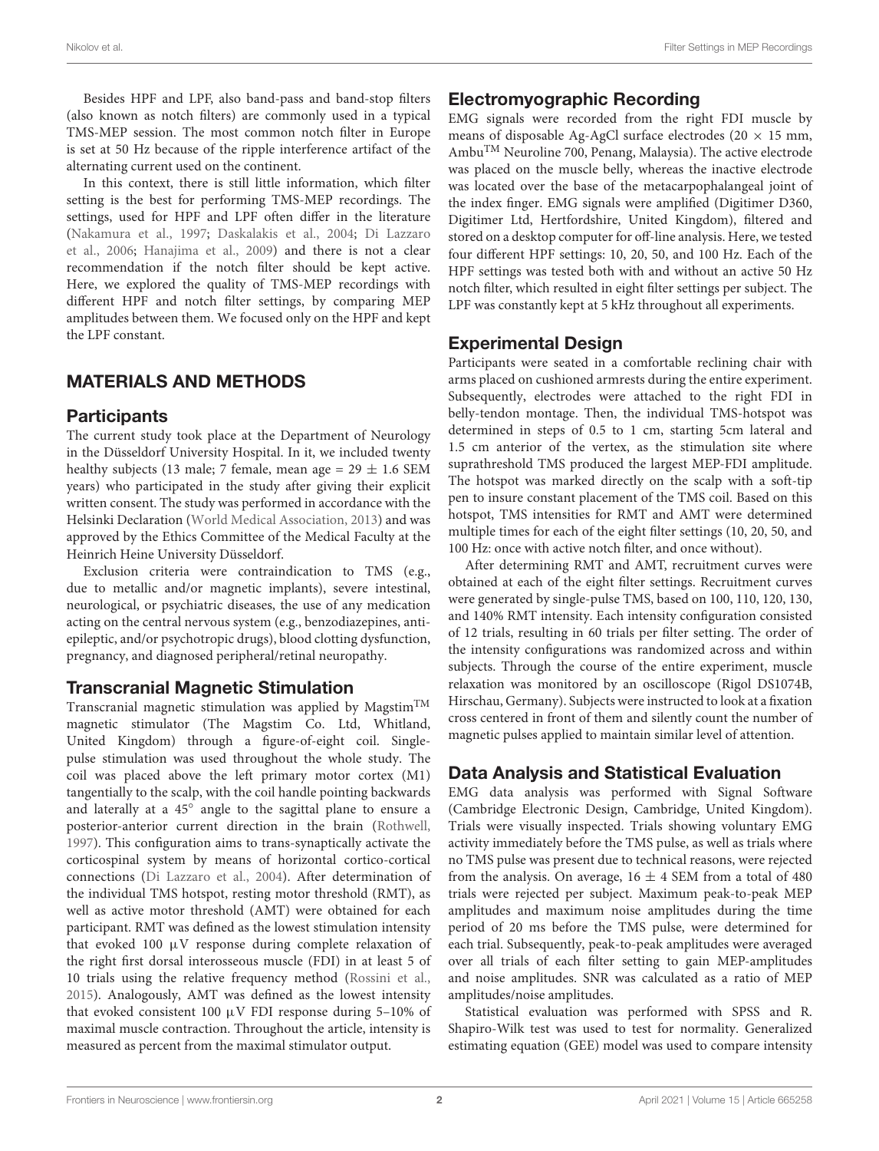Besides HPF and LPF, also band-pass and band-stop filters (also known as notch filters) are commonly used in a typical TMS-MEP session. The most common notch filter in Europe is set at 50 Hz because of the ripple interference artifact of the alternating current used on the continent.

In this context, there is still little information, which filter setting is the best for performing TMS-MEP recordings. The settings, used for HPF and LPF often differ in the literature [\(Nakamura et al.,](#page-4-0) [1997;](#page-4-0) [Daskalakis et al.,](#page-4-1) [2004;](#page-4-1) [Di Lazzaro](#page-4-2) [et al.,](#page-4-2) [2006;](#page-4-2) [Hanajima et al.,](#page-4-3) [2009\)](#page-4-3) and there is not a clear recommendation if the notch filter should be kept active. Here, we explored the quality of TMS-MEP recordings with different HPF and notch filter settings, by comparing MEP amplitudes between them. We focused only on the HPF and kept the LPF constant.

# MATERIALS AND METHODS

### **Participants**

The current study took place at the Department of Neurology in the Düsseldorf University Hospital. In it, we included twenty healthy subjects (13 male; 7 female, mean age =  $29 \pm 1.6$  SEM years) who participated in the study after giving their explicit written consent. The study was performed in accordance with the Helsinki Declaration [\(World Medical Association,](#page-4-4) [2013\)](#page-4-4) and was approved by the Ethics Committee of the Medical Faculty at the Heinrich Heine University Düsseldorf.

Exclusion criteria were contraindication to TMS (e.g., due to metallic and/or magnetic implants), severe intestinal, neurological, or psychiatric diseases, the use of any medication acting on the central nervous system (e.g., benzodiazepines, antiepileptic, and/or psychotropic drugs), blood clotting dysfunction, pregnancy, and diagnosed peripheral/retinal neuropathy.

# Transcranial Magnetic Stimulation

Transcranial magnetic stimulation was applied by Magstim<sup>TM</sup> magnetic stimulator (The Magstim Co. Ltd, Whitland, United Kingdom) through a figure-of-eight coil. Singlepulse stimulation was used throughout the whole study. The coil was placed above the left primary motor cortex (M1) tangentially to the scalp, with the coil handle pointing backwards and laterally at a 45° angle to the sagittal plane to ensure a posterior-anterior current direction in the brain [\(Rothwell,](#page-4-5) [1997\)](#page-4-5). This configuration aims to trans-synaptically activate the corticospinal system by means of horizontal cortico-cortical connections [\(Di Lazzaro et al.,](#page-4-6) [2004\)](#page-4-6). After determination of the individual TMS hotspot, resting motor threshold (RMT), as well as active motor threshold (AMT) were obtained for each participant. RMT was defined as the lowest stimulation intensity that evoked 100 µV response during complete relaxation of the right first dorsal interosseous muscle (FDI) in at least 5 of 10 trials using the relative frequency method [\(Rossini et al.,](#page-4-7) [2015\)](#page-4-7). Analogously, AMT was defined as the lowest intensity that evoked consistent 100  $\mu$ V FDI response during 5-10% of maximal muscle contraction. Throughout the article, intensity is measured as percent from the maximal stimulator output.

# Electromyographic Recording

EMG signals were recorded from the right FDI muscle by means of disposable Ag-AgCl surface electrodes (20  $\times$  15 mm, AmbuTM Neuroline 700, Penang, Malaysia). The active electrode was placed on the muscle belly, whereas the inactive electrode was located over the base of the metacarpophalangeal joint of the index finger. EMG signals were amplified (Digitimer D360, Digitimer Ltd, Hertfordshire, United Kingdom), filtered and stored on a desktop computer for off-line analysis. Here, we tested four different HPF settings: 10, 20, 50, and 100 Hz. Each of the HPF settings was tested both with and without an active 50 Hz notch filter, which resulted in eight filter settings per subject. The LPF was constantly kept at 5 kHz throughout all experiments.

# Experimental Design

Participants were seated in a comfortable reclining chair with arms placed on cushioned armrests during the entire experiment. Subsequently, electrodes were attached to the right FDI in belly-tendon montage. Then, the individual TMS-hotspot was determined in steps of 0.5 to 1 cm, starting 5cm lateral and 1.5 cm anterior of the vertex, as the stimulation site where suprathreshold TMS produced the largest MEP-FDI amplitude. The hotspot was marked directly on the scalp with a soft-tip pen to insure constant placement of the TMS coil. Based on this hotspot, TMS intensities for RMT and AMT were determined multiple times for each of the eight filter settings (10, 20, 50, and 100 Hz: once with active notch filter, and once without).

After determining RMT and AMT, recruitment curves were obtained at each of the eight filter settings. Recruitment curves were generated by single-pulse TMS, based on 100, 110, 120, 130, and 140% RMT intensity. Each intensity configuration consisted of 12 trials, resulting in 60 trials per filter setting. The order of the intensity configurations was randomized across and within subjects. Through the course of the entire experiment, muscle relaxation was monitored by an oscilloscope (Rigol DS1074B, Hirschau, Germany). Subjects were instructed to look at a fixation cross centered in front of them and silently count the number of magnetic pulses applied to maintain similar level of attention.

# Data Analysis and Statistical Evaluation

EMG data analysis was performed with Signal Software (Cambridge Electronic Design, Cambridge, United Kingdom). Trials were visually inspected. Trials showing voluntary EMG activity immediately before the TMS pulse, as well as trials where no TMS pulse was present due to technical reasons, were rejected from the analysis. On average,  $16 \pm 4$  SEM from a total of 480 trials were rejected per subject. Maximum peak-to-peak MEP amplitudes and maximum noise amplitudes during the time period of 20 ms before the TMS pulse, were determined for each trial. Subsequently, peak-to-peak amplitudes were averaged over all trials of each filter setting to gain MEP-amplitudes and noise amplitudes. SNR was calculated as a ratio of MEP amplitudes/noise amplitudes.

Statistical evaluation was performed with SPSS and R. Shapiro-Wilk test was used to test for normality. Generalized estimating equation (GEE) model was used to compare intensity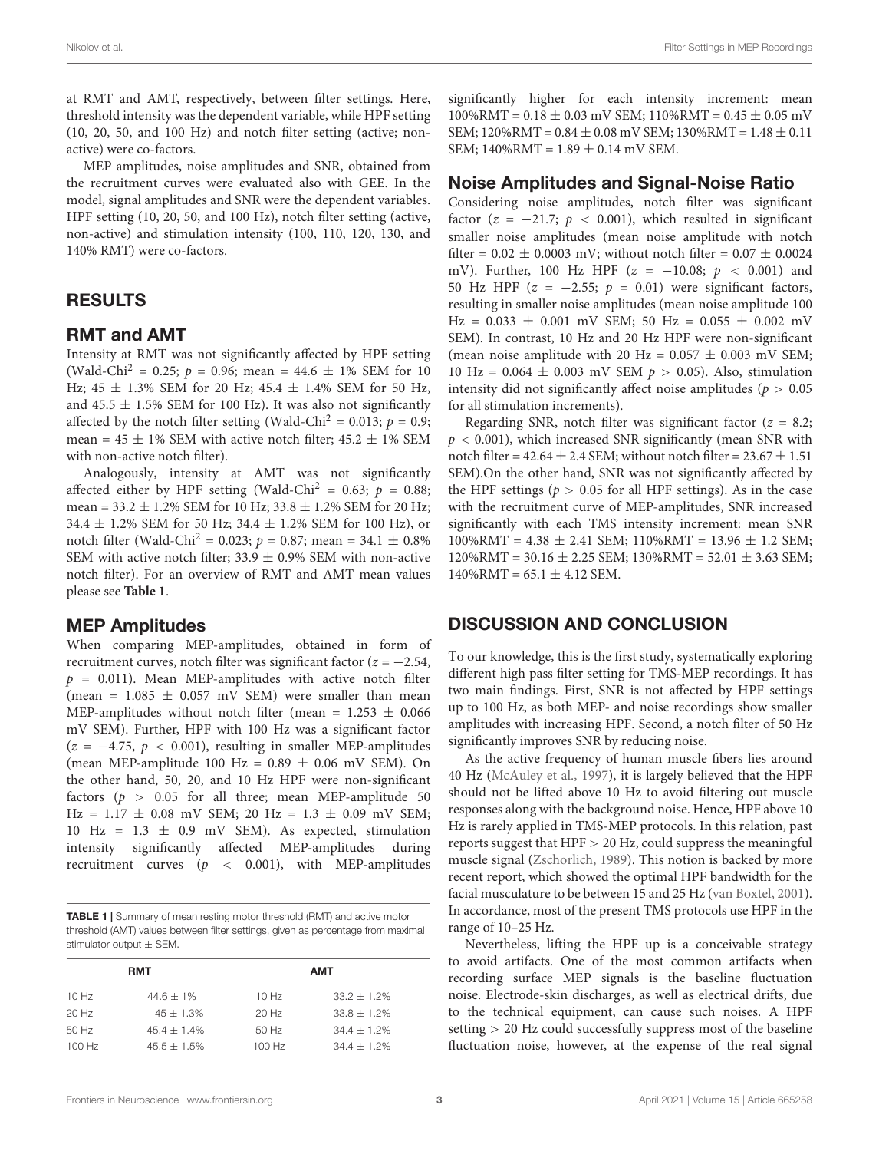at RMT and AMT, respectively, between filter settings. Here, threshold intensity was the dependent variable, while HPF setting (10, 20, 50, and 100 Hz) and notch filter setting (active; nonactive) were co-factors.

MEP amplitudes, noise amplitudes and SNR, obtained from the recruitment curves were evaluated also with GEE. In the model, signal amplitudes and SNR were the dependent variables. HPF setting (10, 20, 50, and 100 Hz), notch filter setting (active, non-active) and stimulation intensity (100, 110, 120, 130, and 140% RMT) were co-factors.

# RESULTS

### RMT and AMT

Intensity at RMT was not significantly affected by HPF setting (Wald-Chi<sup>2</sup> = 0.25;  $p = 0.96$ ; mean = 44.6  $\pm$  1% SEM for 10 Hz; 45  $\pm$  1.3% SEM for 20 Hz; 45.4  $\pm$  1.4% SEM for 50 Hz, and  $45.5 \pm 1.5\%$  SEM for 100 Hz). It was also not significantly affected by the notch filter setting (Wald-Chi<sup>2</sup> = 0.013;  $p = 0.9$ ; mean =  $45 \pm 1\%$  SEM with active notch filter;  $45.2 \pm 1\%$  SEM with non-active notch filter).

Analogously, intensity at AMT was not significantly affected either by HPF setting (Wald-Chi<sup>2</sup> = 0.63;  $p = 0.88$ ; mean =  $33.2 \pm 1.2\%$  SEM for 10 Hz;  $33.8 \pm 1.2\%$  SEM for 20 Hz; 34.4  $\pm$  1.2% SEM for 50 Hz; 34.4  $\pm$  1.2% SEM for 100 Hz), or notch filter (Wald-Chi<sup>2</sup> = 0.023;  $p = 0.87$ ; mean = 34.1  $\pm$  0.8% SEM with active notch filter;  $33.9 \pm 0.9\%$  SEM with non-active notch filter). For an overview of RMT and AMT mean values please see **[Table 1](#page-2-0)**.

#### MEP Amplitudes

When comparing MEP-amplitudes, obtained in form of recruitment curves, notch filter was significant factor ( $z = -2.54$ ,  $p = 0.011$ ). Mean MEP-amplitudes with active notch filter (mean =  $1.085 \pm 0.057$  mV SEM) were smaller than mean MEP-amplitudes without notch filter (mean =  $1.253 \pm 0.066$ ) mV SEM). Further, HPF with 100 Hz was a significant factor  $(z = -4.75, p < 0.001)$ , resulting in smaller MEP-amplitudes (mean MEP-amplitude 100 Hz =  $0.89 \pm 0.06$  mV SEM). On the other hand, 50, 20, and 10 Hz HPF were non-significant factors ( $p > 0.05$  for all three; mean MEP-amplitude 50  $Hz = 1.17 \pm 0.08$  mV SEM; 20 Hz = 1.3  $\pm$  0.09 mV SEM;  $10$  Hz =  $1.3 \pm 0.9$  mV SEM). As expected, stimulation intensity significantly affected MEP-amplitudes during recruitment curves  $(p \lt 0.001)$ , with MEP-amplitudes

<span id="page-2-0"></span>TABLE 1 | Summary of mean resting motor threshold (RMT) and active motor threshold (AMT) values between filter settings, given as percentage from maximal stimulator output  $\pm$  SEM.

| <b>RMT</b> |                  | <b>AMT</b> |                  |  |
|------------|------------------|------------|------------------|--|
| 10 Hz      | $44.6 \pm 1\%$   | 10 Hz      | $33.2 + 1.2\%$   |  |
| $20$ Hz    | $45 + 1.3%$      | $20$ Hz    | $33.8 + 1.2\%$   |  |
| 50 Hz      | $45.4 \pm 1.4\%$ | 50 Hz      | $34.4 \pm 1.2\%$ |  |
| $100$ Hz   | $45.5 + 1.5\%$   | $100$ Hz   | $34.4 + 1.2\%$   |  |

significantly higher for each intensity increment: mean  $100\%$ RMT =  $0.18 \pm 0.03$  mV SEM;  $110\%$ RMT =  $0.45 \pm 0.05$  mV SEM;  $120\%$ RMT =  $0.84 \pm 0.08$  mV SEM;  $130\%$ RMT =  $1.48 \pm 0.11$ SEM;  $140\%$ RMT =  $1.89 \pm 0.14$  mV SEM.

#### Noise Amplitudes and Signal-Noise Ratio

Considering noise amplitudes, notch filter was significant factor ( $z = -21.7$ ;  $p < 0.001$ ), which resulted in significant smaller noise amplitudes (mean noise amplitude with notch filter =  $0.02 \pm 0.0003$  mV; without notch filter =  $0.07 \pm 0.0024$ mV). Further, 100 Hz HPF  $(z = -10.08; p < 0.001)$  and 50 Hz HPF ( $z = -2.55$ ;  $p = 0.01$ ) were significant factors, resulting in smaller noise amplitudes (mean noise amplitude 100  $\text{Hz} = 0.033 \pm 0.001 \text{ mV}$  SEM; 50 Hz = 0.055  $\pm$  0.002 mV SEM). In contrast, 10 Hz and 20 Hz HPF were non-significant (mean noise amplitude with 20 Hz =  $0.057 \pm 0.003$  mV SEM; 10 Hz =  $0.064 \pm 0.003$  mV SEM  $p > 0.05$ ). Also, stimulation intensity did not significantly affect noise amplitudes ( $p > 0.05$ ) for all stimulation increments).

Regarding SNR, notch filter was significant factor ( $z = 8.2$ ;  $p < 0.001$ ), which increased SNR significantly (mean SNR with notch filter =  $42.64 \pm 2.4$  SEM; without notch filter =  $23.67 \pm 1.51$ SEM).On the other hand, SNR was not significantly affected by the HPF settings ( $p > 0.05$  for all HPF settings). As in the case with the recruitment curve of MEP-amplitudes, SNR increased significantly with each TMS intensity increment: mean SNR  $100\%$ RMT = 4.38  $\pm$  2.41 SEM; 110%RMT = 13.96  $\pm$  1.2 SEM;  $120\%$ RMT = 30.16  $\pm$  2.25 SEM; 130%RMT = 52.01  $\pm$  3.63 SEM;  $140\%$ RMT = 65.1  $\pm$  4.12 SEM.

# DISCUSSION AND CONCLUSION

To our knowledge, this is the first study, systematically exploring different high pass filter setting for TMS-MEP recordings. It has two main findings. First, SNR is not affected by HPF settings up to 100 Hz, as both MEP- and noise recordings show smaller amplitudes with increasing HPF. Second, a notch filter of 50 Hz significantly improves SNR by reducing noise.

As the active frequency of human muscle fibers lies around 40 Hz [\(McAuley et al.,](#page-4-8) [1997\)](#page-4-8), it is largely believed that the HPF should not be lifted above 10 Hz to avoid filtering out muscle responses along with the background noise. Hence, HPF above 10 Hz is rarely applied in TMS-MEP protocols. In this relation, past reports suggest that HPF > 20 Hz, could suppress the meaningful muscle signal [\(Zschorlich,](#page-4-9) [1989\)](#page-4-9). This notion is backed by more recent report, which showed the optimal HPF bandwidth for the facial musculature to be between 15 and 25 Hz [\(van Boxtel,](#page-4-10) [2001\)](#page-4-10). In accordance, most of the present TMS protocols use HPF in the range of 10–25 Hz.

Nevertheless, lifting the HPF up is a conceivable strategy to avoid artifacts. One of the most common artifacts when recording surface MEP signals is the baseline fluctuation noise. Electrode-skin discharges, as well as electrical drifts, due to the technical equipment, can cause such noises. A HPF setting > 20 Hz could successfully suppress most of the baseline fluctuation noise, however, at the expense of the real signal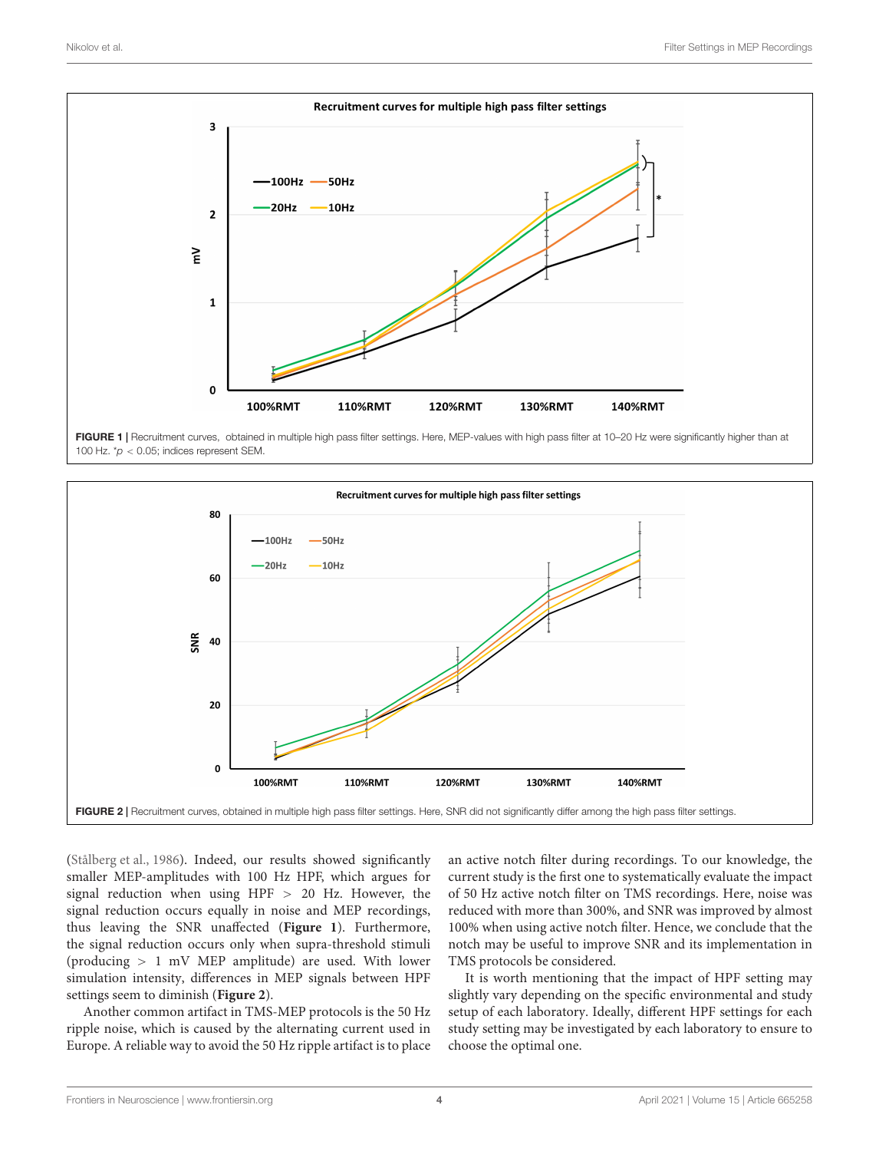

<span id="page-3-0"></span>FIGURE 1 | Recruitment curves, obtained in multiple high pass filter settings. Here, MEP-values with high pass filter at 10-20 Hz were significantly higher than at 100 Hz.  $p$  < 0.05; indices represent SEM



<span id="page-3-1"></span>[\(Stålberg et al.,](#page-4-11) [1986\)](#page-4-11). Indeed, our results showed significantly smaller MEP-amplitudes with 100 Hz HPF, which argues for signal reduction when using HPF > 20 Hz. However, the signal reduction occurs equally in noise and MEP recordings, thus leaving the SNR unaffected (**[Figure 1](#page-3-0)**). Furthermore, the signal reduction occurs only when supra-threshold stimuli (producing > 1 mV MEP amplitude) are used. With lower simulation intensity, differences in MEP signals between HPF settings seem to diminish (**[Figure 2](#page-3-1)**).

Another common artifact in TMS-MEP protocols is the 50 Hz ripple noise, which is caused by the alternating current used in Europe. A reliable way to avoid the 50 Hz ripple artifact is to place an active notch filter during recordings. To our knowledge, the current study is the first one to systematically evaluate the impact of 50 Hz active notch filter on TMS recordings. Here, noise was reduced with more than 300%, and SNR was improved by almost 100% when using active notch filter. Hence, we conclude that the notch may be useful to improve SNR and its implementation in TMS protocols be considered.

It is worth mentioning that the impact of HPF setting may slightly vary depending on the specific environmental and study setup of each laboratory. Ideally, different HPF settings for each study setting may be investigated by each laboratory to ensure to choose the optimal one.